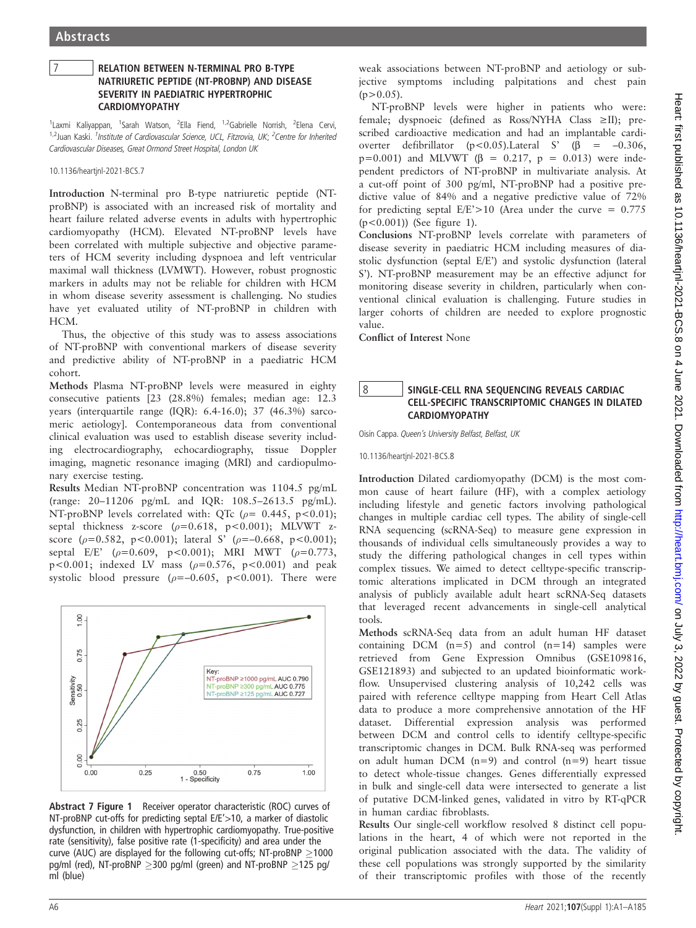## 7 RELATION BETWEEN N-TERMINAL PRO B-TYPE NATRIURETIC PEPTIDE (NT-PROBNP) AND DISEASE SEVERITY IN PAEDIATRIC HYPERTROPHIC CARDIOMYOPATHY

<sup>1</sup>Laxmi Kaliyappan, <sup>1</sup>Sarah Watson, <sup>2</sup>Ella Fiend, <sup>1,2</sup>Gabrielle Norrish, <sup>2</sup>Elena Cervi, <sup>1,2</sup> Juan Kaski. <sup>1</sup>Institute of Cardiovascular Science, UCL, Fitzrovia, UK; <sup>2</sup>Centre for Inherited Cardiovascular Diseases, Great Ormond Street Hospital, London UK

10.1136/heartjnl-2021-BCS.7

Introduction N-terminal pro B-type natriuretic peptide (NTproBNP) is associated with an increased risk of mortality and heart failure related adverse events in adults with hypertrophic cardiomyopathy (HCM). Elevated NT-proBNP levels have been correlated with multiple subjective and objective parameters of HCM severity including dyspnoea and left ventricular maximal wall thickness (LVMWT). However, robust prognostic markers in adults may not be reliable for children with HCM in whom disease severity assessment is challenging. No studies have yet evaluated utility of NT-proBNP in children with HCM.

Thus, the objective of this study was to assess associations of NT-proBNP with conventional markers of disease severity and predictive ability of NT-proBNP in a paediatric HCM cohort.

Methods Plasma NT-proBNP levels were measured in eighty consecutive patients [23 (28.8%) females; median age: 12.3 years (interquartile range (IQR): 6.4-16.0); 37 (46.3%) sarcomeric aetiology]. Contemporaneous data from conventional clinical evaluation was used to establish disease severity including electrocardiography, echocardiography, tissue Doppler imaging, magnetic resonance imaging (MRI) and cardiopulmonary exercise testing.

Results Median NT-proBNP concentration was 1104.5 pg/mL (range: 20–11206 pg/mL and IQR: 108.5–2613.5 pg/mL). NT-proBNP levels correlated with: QTc ( $\rho$ = 0.445, p<0.01); septal thickness z-score ( $\rho$ =0.618, p<0.001); MLVWT zscore ( $\rho$ =0.582, p<0.001); lateral S' ( $\rho$ =-0.668, p<0.001); septal E/E' ( $\rho$ =0.609, p<0.001); MRI MWT ( $\rho$ =0.773, p<0.001; indexed LV mass  $(\rho=0.576, p<0.001)$  and peak systolic blood pressure ( $\rho = -0.605$ , p<0.001). There were



Abstract 7 Figure 1 Receiver operator characteristic (ROC) curves of NT-proBNP cut-offs for predicting septal E/E'>10, a marker of diastolic dysfunction, in children with hypertrophic cardiomyopathy. True-positive rate (sensitivity), false positive rate (1-specificity) and area under the curve (AUC) are displayed for the following cut-offs; NT-proBNP  $\geq$ 1000 pg/ml (red), NT-proBNP  $\geq$ 300 pg/ml (green) and NT-proBNP  $\geq$ 125 pg/ ml (blue)

weak associations between NT-proBNP and aetiology or subjective symptoms including palpitations and chest pain  $(p>0.05)$ .

NT-proBNP levels were higher in patients who were: female; dyspnoeic (defined as Ross/NYHA Class ≥II); prescribed cardioactive medication and had an implantable cardioverter defibrillator (p<0.05).Lateral S' ( $\beta$  = -0.306, p=0.001) and MLVWT ( $\beta$  = 0.217, p = 0.013) were independent predictors of NT-proBNP in multivariate analysis. At a cut-off point of 300 pg/ml, NT-proBNP had a positive predictive value of 84% and a negative predictive value of 72% for predicting septal  $E/E' > 10$  (Area under the curve = 0.775)  $(p < 0.001)$ ) (See figure 1).

Conclusions NT-proBNP levels correlate with parameters of disease severity in paediatric HCM including measures of diastolic dysfunction (septal E/E') and systolic dysfunction (lateral S'). NT-proBNP measurement may be an effective adjunct for monitoring disease severity in children, particularly when conventional clinical evaluation is challenging. Future studies in larger cohorts of children are needed to explore prognostic value.

Conflict of Interest None

## 8 SINGLE-CELL RNA SEQUENCING REVEALS CARDIAC CELL-SPECIFIC TRANSCRIPTOMIC CHANGES IN DILATED CARDIOMYOPATHY

Oisín Cappa. Queen's University Belfast, Belfast, UK

10.1136/heartjnl-2021-BCS.8

Introduction Dilated cardiomyopathy (DCM) is the most common cause of heart failure (HF), with a complex aetiology including lifestyle and genetic factors involving pathological changes in multiple cardiac cell types. The ability of single-cell RNA sequencing (scRNA-Seq) to measure gene expression in thousands of individual cells simultaneously provides a way to study the differing pathological changes in cell types within complex tissues. We aimed to detect celltype-specific transcriptomic alterations implicated in DCM through an integrated analysis of publicly available adult heart scRNA-Seq datasets that leveraged recent advancements in single-cell analytical tools.

Methods scRNA-Seq data from an adult human HF dataset containing DCM  $(n=5)$  and control  $(n=14)$  samples were retrieved from Gene Expression Omnibus (GSE109816, GSE121893) and subjected to an updated bioinformatic workflow. Unsupervised clustering analysis of 10,242 cells was paired with reference celltype mapping from Heart Cell Atlas data to produce a more comprehensive annotation of the HF dataset. Differential expression analysis was performed between DCM and control cells to identify celltype-specific transcriptomic changes in DCM. Bulk RNA-seq was performed on adult human DCM  $(n=9)$  and control  $(n=9)$  heart tissue to detect whole-tissue changes. Genes differentially expressed in bulk and single-cell data were intersected to generate a list of putative DCM-linked genes, validated in vitro by RT-qPCR in human cardiac fibroblasts.

Results Our single-cell workflow resolved 8 distinct cell populations in the heart, 4 of which were not reported in the original publication associated with the data. The validity of these cell populations was strongly supported by the similarity of their transcriptomic profiles with those of the recently